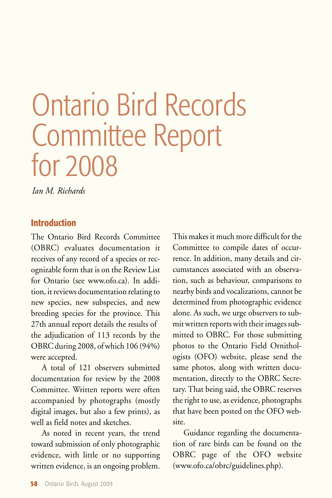# Ontario Bird Records Committee Report for 2008

*Ian M. Richards*

# **Introduction**

The Ontario Bird Records Committee (OBRC) evaluates documentation it receives of any record of a species or recognizable form that is on the Review List for Ontario (see www.ofo.ca). In addition, it reviews documentation relating to new species, new subspecies, and new breeding species for the province. This 27th annual report details the results of the adjudication of 113 records by the OBRC during 2008, of which 106 (94%) were accepted.

A total of 121 observers submitted documentation for review by the 2008 Committee. Written reports were often accompanied by photographs (mostly digital images, but also a few prints), as well as field notes and sketches.

As noted in recent years, the trend toward submission of only photographic evidence, with little or no supporting written evidence, is an ongoing problem.

This makes it much more difficult for the Committee to compile dates of occurrence. In addition, many details and circumstances associated with an observation, such as behaviour, comparisons to nearby birds and vocalizations, cannot be determined from photographic evidence alone. As such, we urge observers to submit written reports with their images submitted to OBRC. For those submitting photos to the Ontario Field Ornithologists (OFO) website, please send the same photos, along with written documentation, directly to the OBRC Secretary. That being said, the OBRC reserves the right to use, as evidence, photographs that have been posted on the OFO website.

Guidance regarding the documentation of rare birds can be found on the OBRC page of the OFO website (www.ofo.ca/obrc/guidelines.php).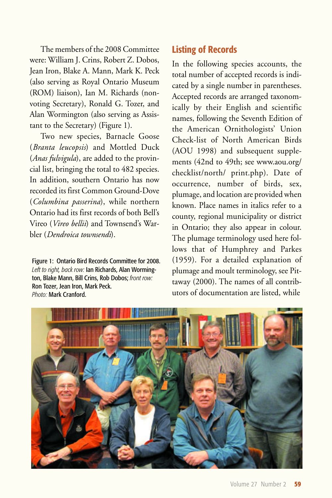The members of the 2008 Committee were: William J. Crins, Robert Z. Dobos, Jean Iron, Blake A. Mann, Mark K. Peck (also serving as Royal Ontario Museum (ROM) liaison), Ian M. Richards (nonvoting Secretary), Ronald G. Tozer, and Alan Wormington (also serving as Assistant to the Secretary) (Figure 1).

Two new species, Barnacle Goose (*Branta leucopsis*) and Mottled Duck (*Anas fulvigula*), are added to the provincial list, bringing the total to 482 species. In addition, southern Ontario has now recorded its first Common Ground-Dove (*Columbina passerina*), while northern Ontario had its first records of both Bell's Vireo (*Vireo bellii*) and Townsend's Warbler (*Dendroica townsendi*).

Figure 1: Ontario Bird Records Committee for 2008. *Left to right, back row:* Ian Richards, Alan Wormington, Blake Mann, Bill Crins, Rob Dobos; *front row:* Ron Tozer, Jean Iron, Mark Peck. *Photo:* Mark Cranford.

# **Listing of Records**

In the following species accounts, the total number of accepted records is indicated by a single number in parentheses. Accepted records are arranged taxonomically by their English and scientific names, following the Seventh Edition of the American Ornithologists' Union Check-list of North American Birds (AOU 1998) and subsequent supplements (42nd to 49th; see www.aou.org/ checklist/north/ print.php). Date of occurrence, number of birds, sex, plumage, and location are provided when known. Place names in italics refer to a county, regional municipality or district in Ontario; they also appear in colour. The plumage terminology used here follows that of Humphrey and Parkes (1959). For a detailed explanation of plumage and moult terminology, see Pittaway (2000). The names of all contributors of documentation are listed, while

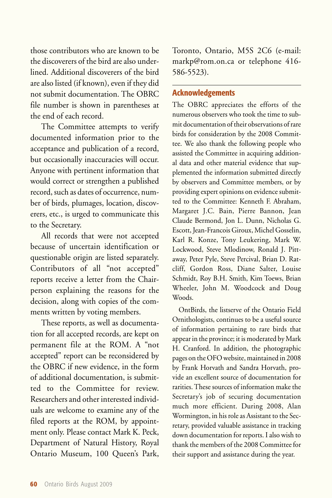those contributors who are known to be the discoverers of the bird are also underlined. Additional discoverers of the bird are also listed (if known), even if they did not submit documentation. The OBRC file number is shown in parentheses at the end of each record.

The Committee attempts to verify documented information prior to the acceptance and publication of a record, but occasionally inaccuracies will occur. Anyone with pertinent information that would correct or strengthen a published record, such as dates of occurrence, number of birds, plumages, location, discoverers, etc., is urged to communicate this to the Secretary.

All records that were not accepted because of uncertain identification or questionable origin are listed separately. Contributors of all "not accepted" reports receive a letter from the Chairperson explaining the reasons for the decision, along with copies of the comments written by voting members.

These reports, as well as documentation for all accepted records, are kept on permanent file at the ROM. A "not accepted" report can be reconsidered by the OBRC if new evidence, in the form of additional documentation, is submitted to the Committee for review. Researchers and other interested individuals are welcome to examine any of the filed reports at the ROM, by appointment only. Please contact Mark K. Peck, Department of Natural History, Royal Ontario Museum, 100 Queen's Park,

Toronto, Ontario, M5S 2C6 (e-mail: markp@rom.on.ca or telephone 416- 586-5523).

# **Acknowledgements**

The OBRC appreciates the efforts of the numerous observers who took the time to submit documentation of their observations of rare birds for consideration by the 2008 Committee. We also thank the following people who assisted the Committee in acquiring additional data and other material evidence that supplemented the information submitted directly by observers and Committee members, or by providing expert opinions on evidence submitted to the Committee: Kenneth F. Abraham, Margaret J.C. Bain, Pierre Bannon, Jean Claude Bermond, Jon L. Dunn, Nicholas G. Escott, Jean-Francois Giroux, Michel Gosselin, Karl R. Konze, Tony Leukering, Mark W. Lockwood, Steve Mlodinow, Ronald J. Pittaway, Peter Pyle, Steve Percival, Brian D. Ratcliff, Gordon Ross, Diane Salter, Louise Schmidt, Roy B.H. Smith, Kim Toews, Brian Wheeler, John M. Woodcock and Doug Woods.

OntBirds, the listserve of the Ontario Field Ornithologists, continues to be a useful source of information pertaining to rare birds that appear in the province; it is moderated by Mark H. Cranford. In addition, the photographic pages on the OFO website, maintained in 2008 by Frank Horvath and Sandra Horvath, provide an excellent source of documentation for rarities. These sources of information make the Secretary's job of securing documentation much more efficient. During 2008, Alan Wormington, in his role as Assistant to the Secretary, provided valuable assistance in tracking down documentation for reports. I also wish to thank the members of the 2008 Committee for their support and assistance during the year.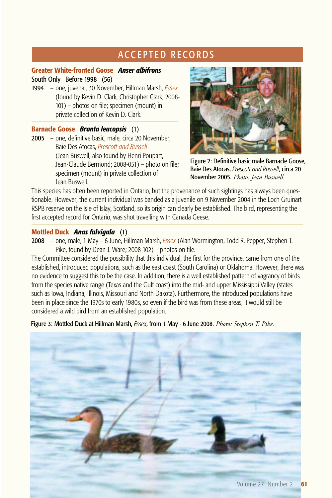# **ACCEPTED RECORDS**

# **Greater White-fronted Goose** *Anser albifrons*

## South Only Before 1998 (56)

1994 – one, juvenal, 30 November, Hillman Marsh, *Essex*  (found by Kevin D. Clark, Christopher Clark; 2008- 101) – photos on file; specimen (mount) in private collection of Kevin D. Clark.

# **Barnacle Goose** *Branta leucopsis* (1)

2005 – one, definitive basic, male, circa 20 November, Baie Des Atocas, *Prescott and Russell* (Jean Buswell, also found by Henri Poupart, Jean-Claude Bermond; 2008-051) – photo on file; specimen (mount) in private collection of Jean Buswell.



Figure 2: Definitive basic male Barnacle Goose, Baie Des Atocas, *Prescott and Russell*, circa 20 November 2005. *Photo: Jean Buswell.*

This species has often been reported in Ontario, but the provenance of such sightings has always been questionable. However, the current individual was banded as a juvenile on 9 November 2004 in the Loch Gruinart RSPB reserve on the Isle of Islay, Scotland, so its origin can clearly be established. The bird, representing the first accepted record for Ontario, was shot travelling with Canada Geese.

# **Mottled Duck** *Anas fulvigula* (1)

2008 – one, male, 1 May – 6 June, Hillman Marsh, *Essex* (Alan Wormington, Todd R. Pepper, Stephen T. Pike, found by Dean J. Ware; 2008-102) – photos on file.

The Committee considered the possibility that this individual, the first for the province, came from one of the established, introduced populations, such as the east coast (South Carolina) or Oklahoma. However, there was no evidence to suggest this to be the case. In addition, there is a well established pattern of vagrancy of birds from the species native range (Texas and the Gulf coast) into the mid- and upper Mississippi Valley (states such as Iowa, Indiana, Illinois, Missouri and North Dakota). Furthermore, the introduced populations have been in place since the 1970s to early 1980s, so even if the bird was from these areas, it would still be considered a wild bird from an established population.

Figure 3: Mottled Duck at Hillman Marsh, *Essex*, from 1 May - 6 June 2008. *Photo: Stephen T. Pike.*

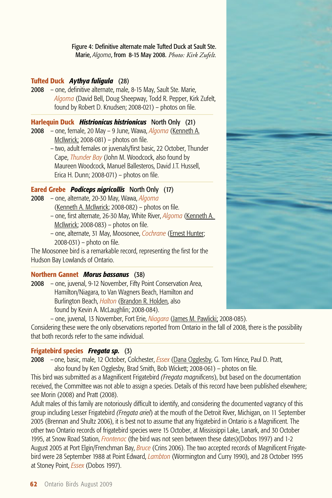Figure 4: Definitive alternate male Tufted Duck at Sault Ste. Marie, *Algoma*, from 8-15 May 2008. *Photo: Kirk Zufelt.*

# **Tufted Duck** *Aythya fuligula* (28)

2008 – one, definitive alternate, male, 8-15 May, Sault Ste. Marie, *Algoma* (David Bell, Doug Sheepway, Todd R. Pepper, Kirk Zufelt, found by Robert D. Knudsen; 2008-021) – photos on file.

## **Harlequin Duck** *Histrionicus histrionicus* North Only (21)

- 2008 one, female, 20 May 9 June, Wawa, *Algoma* (Kenneth A. McIlwrick; 2008-081) – photos on file.
	- two, adult females or juvenals/first basic, 22 October, Thunder Cape, *Thunder Bay* (John M. Woodcock, also found by Maureen Woodcock, Manuel Ballesteros, David J.T. Hussell, Erica H. Dunn; 2008-071) – photos on file.

# **Eared Grebe** *Podiceps nigricollis* North Only (17)

- 2008 one, alternate, 20-30 May, Wawa, *Algoma* (Kenneth A. McIlwrick; 2008-082) – photos on file.
	- one, first alternate, 26-30 May, White River, *Algoma* (Kenneth A. McIlwrick; 2008-083) – photos on file.
	- one, alternate, 31 May, Moosonee, *Cochrane* (Ernest Hunter; 2008-031) – photo on file.

The Moosonee bird is a remarkable record, representing the first for the Hudson Bay Lowlands of Ontario.

# **Northern Gannet** *Morus bassanus* (38)

2008 – one, juvenal, 9-12 November, Fifty Point Conservation Area, Hamilton/Niagara, to Van Wagners Beach, Hamilton and Burlington Beach, *Halton* (Brandon R. Holden, also found by Kevin A. McLaughlin; 2008-084).

– one, juvenal, 13 November, Fort Erie, *Niagara* (James M. Pawlicki; 2008-085).

Considering these were the only observations reported from Ontario in the fall of 2008, there is the possibility that both records refer to the same individual.

#### **Frigatebird species** *Fregata sp.* (3)

2008 – one, basic, male, 12 October, Colchester, *Essex* (Dana Ogglesby, G. Tom Hince, Paul D. Pratt, also found by Ken Ogglesby, Brad Smith, Bob Wickett; 2008-061) – photos on file.

This bird was submitted as a Magnificent Frigatebird *(Fregata magnificens*), but based on the documentation received, the Committee was not able to assign a species. Details of this record have been published elsewhere; see Morin (2008) and Pratt (2008).

Adult males of this family are notoriously difficult to identify, and considering the documented vagrancy of this group including Lesser Frigatebird *(Fregata ariel*) at the mouth of the Detroit River, Michigan, on 11 September 2005 (Brennan and Shultz 2006), it is best not to assume that any frigatebird in Ontario is a Magnificent. The other two Ontario records of frigatebird species were 15 October, at Mississippi Lake, Lanark, and 30 October 1995, at Snow Road Station, *Frontenac* (the bird was not seen between these dates)(Dobos 1997) and 1-2 August 2005 at Port Elgin/Frenchman Bay, *Bruce* (Crins 2006). The two accepted records of Magnificent Frigatebird were 28 September 1988 at Point Edward, *Lambton* (Wormington and Curry 1990), and 28 October 1995 at Stoney Point, *Essex* (Dobos 1997).

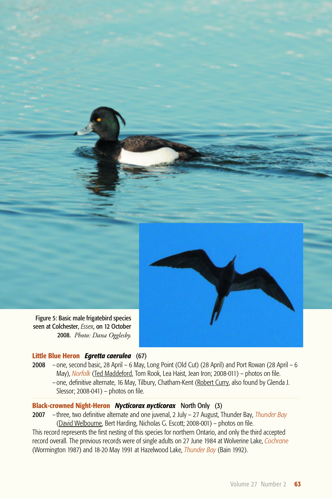

2008. *Photo: Dana Ogglesby.*

#### **Little Blue Heron** *Egretta caerulea* (67)

2008 – one, second basic, 28 April – 6 May, Long Point (Old Cut) (28 April) and Port Rowan (28 April – 6 May), *Norfolk* (Ted Maddeford, Tom Rook, Lea Haist, Jean Iron; 2008-011) – photos on file. – one, definitive alternate, 16 May, Tilbury, Chatham-Kent (Robert Curry, also found by Glenda J. Slessor; 2008-041) – photos on file.

# **Black-crowned Night-Heron** *Nycticorax nycticorax* North Only (3)

2007 – three, two definitive alternate and one juvenal, 2 July – 27 August, Thunder Bay, *Thunder Bay* (David Welbourne, Bert Harding, Nicholas G. Escott; 2008-001) – photos on file.

This record represents the first nesting of this species for northern Ontario, and only the third accepted record overall. The previous records were of single adults on 27 June 1984 at Wolverine Lake, *Cochrane* (Wormington 1987) and 18-20 May 1991 at Hazelwood Lake, *Thunder Bay* (Bain 1992).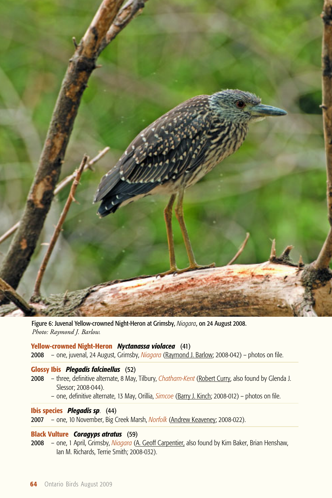

Figure 6: Juvenal Yellow-crowned Night-Heron at Grimsby, *Niagara*, on 24 August 2008. *Photo: Raymond J. Barlow.*

#### **Yellow-crowned Night-Heron** *Nyctanassa violacea* (41)

2008 – one, juvenal, 24 August, Grimsby, *Niagara* (Raymond J. Barlow; 2008-042) – photos on file.

# **Glossy Ibis** *Plegadis falcinellus* (52)

- 2008 three, definitive alternate, 8 May, Tilbury, *Chatham-Kent* (Robert Curry, also found by Glenda J. Slessor; 2008-044).
	- one, definitive alternate, 13 May, Orillia, *Simcoe* (Barry J. Kinch; 2008-012) photos on file.

#### **Ibis species** *Plegadis sp*. (44)

2007 – one, 10 November, Big Creek Marsh, *Norfolk* (Andrew Keaveney; 2008-022).

# **Black Vulture** *Coragyps atratus* (59)

2008 – one, 1 April, Grimsby, *Niagara* (A. Geoff Carpentier, also found by Kim Baker, Brian Henshaw, Ian M. Richards, Terrie Smith; 2008-032).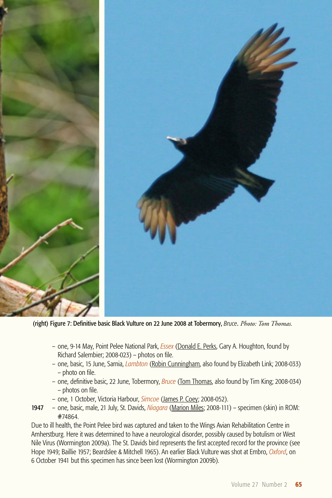

(right) Figure 7: Definitive basic Black Vulture on 22 June 2008 at Tobermory, *Bruce*. *Photo: Tom Thomas.*

- one, 9-14 May, Point Pelee National Park, *Essex* (Donald E. Perks, Gary A. Houghton, found by Richard Salembier; 2008-023) – photos on file.
- one, basic, 15 June, Sarnia, *Lambton* (Robin Cunningham, also found by Elizabeth Link; 2008-033) – photo on file.
- one, definitive basic, 22 June, Tobermory, *Bruce* (Tom Thomas, also found by Tim King; 2008-034) – photos on file.
- one, 1 October, Victoria Harbour, *Simcoe* (James P. Coey; 2008-052).
- 1947 one, basic, male, 21 July, St. Davids, *Niagara* (Marion Miles; 2008-111) specimen (skin) in ROM: #74864.

Due to ill health, the Point Pelee bird was captured and taken to the Wings Avian Rehabilitation Centre in Amherstburg. Here it was determined to have a neurological disorder, possibly caused by botulism or West Nile Virus (Wormington 2009a). The St. Davids bird represents the first accepted record for the province (see Hope 1949; Baillie 1957; Beardslee & Mitchell 1965). An earlier Black Vulture was shot at Embro, *Oxford*, on 6 October 1941 but this specimen has since been lost (Wormington 2009b).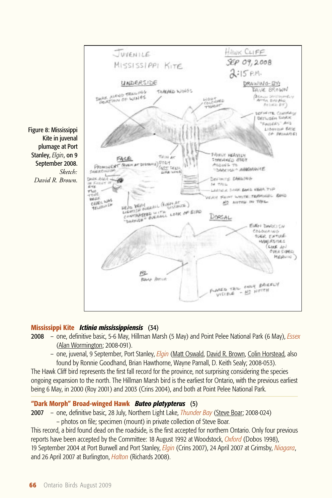

# **Mississippi Kite** *Ictinia mississippiensis* (34)

- 2008 one, definitive basic, 5-6 May, Hillman Marsh (5 May) and Point Pelee National Park (6 May), *Essex* (Alan Wormington; 2008-091).
	- one, juvenal, 9 September, Port Stanley, *Elgin* (Matt Oswald, David R. Brown, Colin Horstead, also found by Ronnie Goodhand, Brian Hawthorne, Wayne Parnall, D. Keith Sealy; 2008-053).

The Hawk Cliff bird represents the first fall record for the province, not surprising considering the species ongoing expansion to the north. The Hillman Marsh bird is the earliest for Ontario, with the previous earliest being 6 May, in 2000 (Roy 2001) and 2003 (Crins 2004), and both at Point Pelee National Park.

# **"Dark Morph" Broad-winged Hawk** *Buteo platypterus* (5)

- 2007 one, definitive basic, 28 July, Northern Light Lake, *Thunder Bay* (Steve Boar; 2008-024)
	- photos on file; specimen (mount) in private collection of Steve Boar.

This record, a bird found dead on the roadside, is the first accepted for northern Ontario. Only four previous reports have been accepted by the Committee: 18 August 1992 at Woodstock, *Oxford* (Dobos 1998), 19 September 2004 at Port Burwell and Port Stanley, *Elgin* (Crins 2007), 24 April 2007 at Grimsby, *Niagara*, and 26 April 2007 at Burlington, *Halton* (Richards 2008).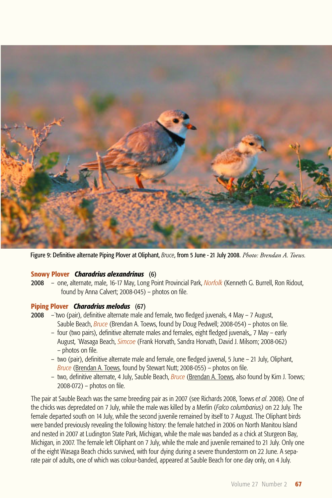

Figure 9: Definitive alternate Piping Plover at Oliphant, *Bruce*, from 5 June - 21 July 2008. *Photo: Brendan A. Toews.*

#### **Snowy Plover** *Charadrius alexandrinus* (6)

2008 – one, alternate, male, 16-17 May, Long Point Provincial Park, *Norfolk* (Kenneth G. Burrell, Ron Ridout, found by Anna Calvert; 2008-045) – photos on file.

#### **Piping Plover** *Charadrius melodus* (67)

- 2008 –`two (pair), definitive alternate male and female, two fledged juvenals, 4 May 7 August, Sauble Beach, *Bruce* (Brendan A. Toews, found by Doug Pedwell; 2008-054) – photos on file.
	- four (two pairs), definitive alternate males and females, eight fledged juvenals,, 7 May early August, `Wasaga Beach, *Simcoe* (Frank Horvath, Sandra Horvath, David J. Milsom; 2008-062) – photos on file.
	- two (pair), definitive alternate male and female, one fledged juvenal, 5 June 21 July, Oliphant, *Bruce* (Brendan A. Toews, found by Stewart Nutt; 2008-055) – photos on file.
	- two, definitive alternate, 4 July, Sauble Beach, *Bruce* (Brendan A. Toews, also found by Kim J. Toews; 2008-072) – photos on file.

The pair at Sauble Beach was the same breeding pair as in 2007 (see Richards 2008, Toews *et al*. 2008). One of the chicks was depredated on 7 July, while the male was killed by a Merlin (*Falco columbarius)* on 22 July. The female departed south on 14 July, while the second juvenile remained by itself to 7 August. The Oliphant birds were banded previously revealing the following history: the female hatched in 2006 on North Manitou Island and nested in 2007 at Ludington State Park, Michigan, while the male was banded as a chick at Sturgeon Bay, Michigan, in 2007. The female left Oliphant on 7 July, while the male and juvenile remained to 21 July. Only one of the eight Wasaga Beach chicks survived, with four dying during a severe thunderstorm on 22 June. A separate pair of adults, one of which was colour-banded, appeared at Sauble Beach for one day only, on 4 July.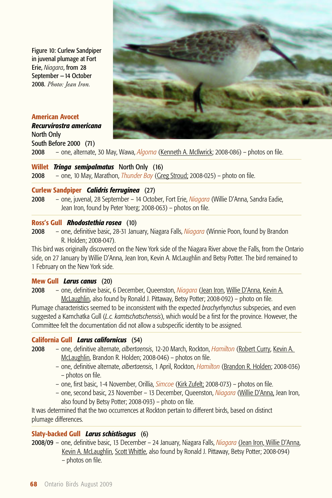Figure 10: Curlew Sandpiper in juvenal plumage at Fort Erie, *Niagara*, from 28 September —14 October 2008. *Photo: Jean Iron.*

## **American Avocet**

*Recurvirostra americana*  North Only South Before 2000 (71)



2008 – one, alternate, 30 May, Wawa, *Algoma* (Kenneth A. McIlwrick; 2008-086) – photos on file.

#### **Willet** *Tringa semipalmatus* North Only (16)

2008 – one, 10 May, Marathon, *Thunder Bay* (Greg Stroud; 2008-025) – photo on file.

#### **Curlew Sandpiper** *Calidris ferruginea* (27)

2008 – one, juvenal, 28 September – 14 October, Fort Erie, *Niagara* (Willie D'Anna, Sandra Eadie, Jean Iron, found by Peter Yoerg; 2008-063) – photos on file.

#### **Ross's Gull** *Rhodostethia rosea* (10)

2008 – one, definitive basic, 28-31 January, Niagara Falls, *Niagara* (Winnie Poon, found by Brandon R. Holden; 2008-047).

This bird was originally discovered on the New York side of the Niagara River above the Falls, from the Ontario side, on 27 January by Willie D'Anna, Jean Iron, Kevin A. McLaughlin and Betsy Potter. The bird remained to 1 February on the New York side.

#### **Mew Gull** *Larus canus* (20)

2008 – one, definitive basic, 6 December, Queenston, *Niagara* (Jean Iron, Willie D'Anna, Kevin A. McLaughlin, also found by Ronald J. Pittaway, Betsy Potter; 2008-092) – photo on file.

Plumage characteristics seemed to be inconsistent with the expected *brachyrhynchus* subspecies, and even suggested a Kamchatka Gull (*L.c. kamtschatschensis*), which would be a first for the province. However, the Committee felt the documentation did not allow a subspecific identity to be assigned.

# **California Gull** *Larus californicus* (54)

- 2008 one, definitive alternate, *albertaensis*, 12-20 March, Rockton, *Hamilton* (Robert Curry, Kevin A. McLaughlin, Brandon R. Holden; 2008-046) – photos on file.
	- one, definitive alternate, *albertaensis*, 1 April, Rockton, *Hamilton* (Brandon R. Holden; 2008-036) – photos on file.
	- one, first basic, 1-4 November, Orillia, *Simcoe* (Kirk Zufelt; 2008-073) photos on file.
	- one, second basic, 23 November 13 December, Queenston, *Niagara* (Willie D'Anna, Jean Iron, also found by Betsy Potter; 2008-093) – photo on file.

It was determined that the two occurrences at Rockton pertain to different birds, based on distinct plumage differences.

#### **Slaty-backed Gull** *Larus schistisagus* (6)

2008/09 – one, definitive basic, 13 December – 24 January, Niagara Falls, *Niagara* (Jean Iron, Willie D'Anna, Kevin A. McLaughlin, Scott Whittle, also found by Ronald J. Pittaway, Betsy Potter; 2008-094) – photos on file.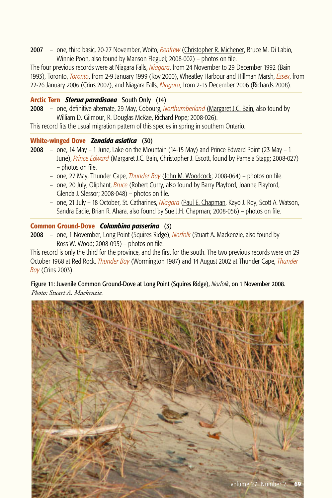2007 – one, third basic, 20-27 November, Woito, *Renfrew* (Christopher R. Michener, Bruce M. Di Labio, Winnie Poon, also found by Manson Fleguel; 2008-002) – photos on file.

The four previous records were at Niagara Falls, *Niagara*, from 24 November to 29 December 1992 (Bain 1993), Toronto, *Toronto*, from 2-9 January 1999 (Roy 2000), Wheatley Harbour and Hillman Marsh, *Essex*, from 22-26 January 2006 (Crins 2007), and Niagara Falls, *Niagara*, from 2-13 December 2006 (Richards 2008).

#### **Arctic Tern** *Sterna paradisaea* South Only (14)

2008 – one, definitive alternate, 29 May, Cobourg, *Northumberland* (Margaret J.C. Bain, also found by William D. Gilmour, R. Douglas McRae, Richard Pope; 2008-026).

This record fits the usual migration pattern of this species in spring in southern Ontario.

#### **White-winged Dove** *Zenaida asiatica* (30)

- 2008 one, 14 May 1 June, Lake on the Mountain (14-15 May) and Prince Edward Point (23 May 1 June), *Prince Edward* (Margaret J.C. Bain, Christopher J. Escott, found by Pamela Stagg; 2008-027) – photos on file.
	- one, 27 May, Thunder Cape, *Thunder Bay* (John M. Woodcock; 2008-064) photos on file.
	- one, 20 July, Oliphant, *Bruce* (Robert Curry, also found by Barry Playford, Joanne Playford, Glenda J. Slessor; 2008-048) – photos on file.
	- one, 21 July 18 October, St. Catharines, *Niagara* (Paul E. Chapman, Kayo J. Roy, Scott A. Watson, Sandra Eadie, Brian R. Ahara, also found by Sue J.H. Chapman; 2008-056) – photos on file.

#### **Common Ground-Dove** *Columbina passerina* (3)

2008 – one, 1 November, Long Point (Squires Ridge), *Norfolk* (Stuart A. Mackenzie, also found by Ross W. Wood; 2008-095) – photos on file.

This record is only the third for the province, and the first for the south. The two previous records were on 29 October 1968 at Red Rock, *Thunder Bay* (Wormington 1987) and 14 August 2002 at Thunder Cape, *Thunder Bay* (Crins 2003).

Figure 11: Juvenile Common Ground-Dove at Long Point (Squires Ridge), *Norfolk*, on 1 November 2008. *Photo: Stuart A. Mackenzie.*

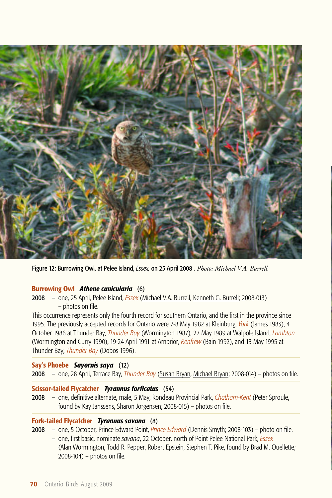

Figure 12: Burrowing Owl, at Pelee Island, *Essex,* on 25 April 2008 . *Photo: Michael V.A. Burrell.*

#### **Burrowing Owl** *Athene cunicularia* (6)

2008 – one, 25 April, Pelee Island, *Essex* (Michael V.A. Burrell, Kenneth G. Burrell; 2008-013) – photos on file.

This occurrence represents only the fourth record for southern Ontario, and the first in the province since 1995. The previously accepted records for Ontario were 7-8 May 1982 at Kleinburg, *York* (James 1983), 4 October 1986 at Thunder Bay, *Thunder Bay* (Wormington 1987), 27 May 1989 at Walpole Island, *Lambton* (Wormington and Curry 1990), 19-24 April 1991 at Arnprior, *Renfrew* (Bain 1992), and 13 May 1995 at Thunder Bay, *Thunder Bay* (Dobos 1996).

# **Say's Phoebe** *Sayornis saya* (12)

2008 – one, 28 April, Terrace Bay, *Thunder Bay* (Susan Bryan, Michael Bryan; 2008-014) – photos on file.

#### **Scissor-tailed Flycatcher** *Tyrannus forficatus* (54)

2008 – one, definitive alternate, male, 5 May, Rondeau Provincial Park, *Chatham-Kent* (Peter Sproule, found by Kay Janssens, Sharon Jorgensen; 2008-015) – photos on file.

#### **Fork-tailed Flycatcher** *Tyrannus savana* (8)

- 2008 one, 5 October, Prince Edward Point, *Prince Edward* (Dennis Smyth; 2008-103) photo on file.
	- one, first basic, nominate *savana*, 22 October, north of Point Pelee National Park, *Essex*  (Alan Wormington, Todd R. Pepper, Robert Epstein, Stephen T. Pike, found by Brad M. Ouellette; 2008-104) – photos on file.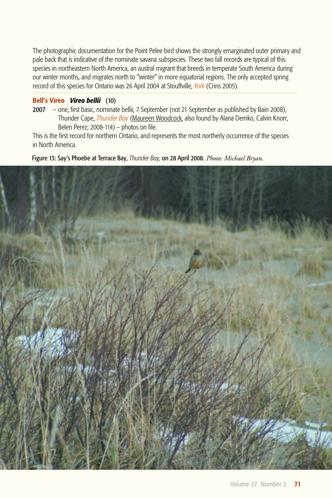The photographic documentation for the Point Pelee bird shows the strongly emarginated outer primary and pale back that is indicative of the nominate savana subspecies. These two fall records are typical of this species in northeastern North America, an austral migrant that breeds in temperate South America during our winter months, and migrates north to "winter" in more equatorial regions. The only accepted spring record of this species for Ontario was 26 April 2004 at Stouffville, *York* (Crins 2005).

#### **Bell's Vireo** *Vireo bellii* (10)

2007 – one, first basic, nominate bellii, 7 September (not 21 September as published by Bain 2008), Thunder Cape, *Thunder Bay* (Maureen Woodcock, also found by Alana Demko, Calvin Knorr, Belen Perez; 2008-114) – photos on file.

This is the first record for northern Ontario, and represents the most northerly occurrence of the species in North America.

Figure 13: Say's Phoebe at Terrace Bay, *Thunder Bay,* on 28 April 2008. *Photo: Michael Bryan*.

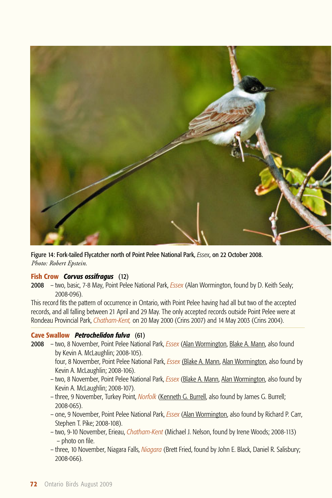

Figure 14: Fork-tailed Flycatcher north of Point Pelee National Park, *Essex*, on 22 October 2008. *Photo: Robert Epstein.*

# **Fish Crow** *Corvus ossifragus* (12)

2008 – two, basic, 7-8 May, Point Pelee National Park, *Essex* (Alan Wormington, found by D. Keith Sealy; 2008-096).

This record fits the pattern of occurrence in Ontario, with Point Pelee having had all but two of the accepted records, and all falling between 21 April and 29 May. The only accepted records outside Point Pelee were at Rondeau Provincial Park, *Chatham-Kent,* on 20 May 2000 (Crins 2007) and 14 May 2003 (Crins 2004).

#### **Cave Swallow** *Petrochelidon fulva* (61)

- 2008 two, 8 November, Point Pelee National Park, *Essex* (Alan Wormington, Blake A. Mann, also found by Kevin A. McLaughlin; 2008-105). four, 8 November, Point Pelee National Park, *Essex* (Blake A. Mann, Alan Wormington, also found by Kevin A. McLaughlin; 2008-106).
	- two, 8 November, Point Pelee National Park, *Essex* (Blake A. Mann, Alan Wormington, also found by Kevin A. McLaughlin; 2008-107).
	- three, 9 November, Turkey Point, *Norfolk* (Kenneth G. Burrell, also found by James G. Burrell; 2008-065).
	- one, 9 November, Point Pelee National Park, *Essex* (Alan Wormington, also found by Richard P. Carr, Stephen T. Pike; 2008-108).
	- two, 9-10 November, Erieau, *Chatham-Kent* (Michael J. Nelson, found by Irene Woods; 2008-113) – photo on file.
	- three, 10 November, Niagara Falls, *Niagara* (Brett Fried, found by John E. Black, Daniel R. Salisbury; 2008-066).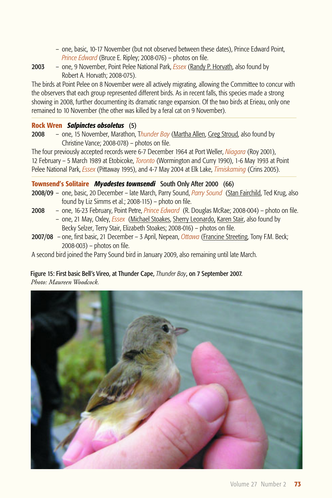- one, basic, 10-17 November (but not observed between these dates), Prince Edward Point, *Prince Edward* (Bruce E. Ripley; 2008-076) – photos on file.
- 2003 one, 9 November, Point Pelee National Park, *Essex* (Randy P. Horvath, also found by Robert A. Horvath; 2008-075).

The birds at Point Pelee on 8 November were all actively migrating, allowing the Committee to concur with the observers that each group represented different birds. As in recent falls, this species made a strong showing in 2008, further documenting its dramatic range expansion. Of the two birds at Erieau, only one remained to 10 November (the other was killed by a feral cat on 9 November).

# **Rock Wren** *Salpinctes obsoletus* (5)

2008 – one, 15 November, Marathon, T*hunder Bay* (Martha Allen, Greg Stroud, also found by Christine Vance; 2008-078) – photos on file.

The four previously accepted records were 6-7 December 1964 at Port Weller, *Niagara* (Roy 2001), 12 February – 5 March 1989 at Etobicoke, *Toronto* (Wormington and Curry 1990), 1-6 May 1993 at Point Pelee National Park, *Essex* (Pittaway 1995), and 4-7 May 2004 at Elk Lake, *Timiskaming* (Crins 2005).

# **Townsend's Solitaire** *Myadestes townsendi* South Only After 2000 (66)

- 2008/09 one, basic, 20 December late March, Parry Sound, *Parry Sound* (Stan Fairchild, Ted Krug, also found by Liz Simms et al.; 2008-115) – photo on file.
- 2008 one, 16-23 February, Point Petre, *Prince Edward* (R. Douglas McRae; 2008-004) photo on file. – one, 21 May, Oxley, *Essex* (Michael Stoakes, Sherry Leonardo, Karen Stair, also found by Becky Selzer, Terry Stair, Elizabeth Stoakes; 2008-016) – photos on file.
- 2007/08 one, first basic, 21 December 3 April, Nepean, *Ottawa* (Francine Streeting, Tony F.M. Beck; 2008-003) – photos on file.

A second bird joined the Parry Sound bird in January 2009, also remaining until late March.

#### Figure 15: First basic Bell's Vireo, at Thunder Cape, *Thunder Bay*, on 7 September 2007. *Photo: Maureen Woodcock.*

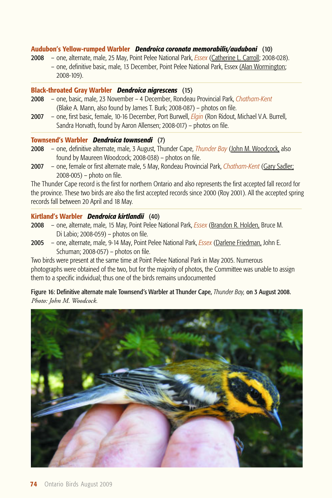#### **Audubon's Yellow-rumped Warbler** *Dendroica coronata memorabilis/auduboni* (10)

2008 – one, alternate, male, 25 May, Point Pelee National Park, *Essex* (Catherine L. Carroll; 2008-028). – one, definitive basic, male, 13 December, Point Pelee National Park, Essex (Alan Wormington; 2008-109).

#### **Black-throated Gray Warbler** *Dendroica nigrescens* (15)

- 2008 one, basic, male, 23 November 4 December, Rondeau Provincial Park, *Chatham-Kent*  (Blake A. Mann, also found by James T. Burk; 2008-087) – photos on file.
- 2007 one, first basic, female, 10-16 December, Port Burwell, *Elgin* (Ron Ridout, Michael V.A. Burrell, Sandra Horvath, found by Aaron Allensen; 2008-017) – photos on file.

#### **Townsend's Warbler** *Dendroica townsendi* (7)

- 2008 one, definitive alternate, male, 3 August, Thunder Cape, *Thunder Bay* (John M. Woodcock, also found by Maureen Woodcock; 2008-038) – photos on file.
- 2007 one, female or first alternate male, 5 May, Rondeau Provincial Park, *Chatham-Kent* (Gary Sadler; 2008-005) – photo on file.

The Thunder Cape record is the first for northern Ontario and also represents the first accepted fall record for the province. These two birds are also the first accepted records since 2000 (Roy 2001). All the accepted spring records fall between 20 April and 18 May.

#### **Kirtland's Warbler** *Dendroica kirtlandii* (40)

- 2008 one, alternate, male, 15 May, Point Pelee National Park, *Essex* (Brandon R. Holden, Bruce M. Di Labio; 2008-059) – photos on file.
- 2005 one, alternate, male, 9-14 May, Point Pelee National Park, *Essex* (Darlene Friedman, John E. Schuman; 2008-057) – photos on file.

Two birds were present at the same time at Point Pelee National Park in May 2005. Numerous photographs were obtained of the two, but for the majority of photos, the Committee was unable to assign them to a specific individual; thus one of the birds remains undocumented

Figure 16: Definitive alternate male Townsend's Warbler at Thunder Cape, *Thunder Bay,* on 3 August 2008. *Photo: John M. Woodcock.*

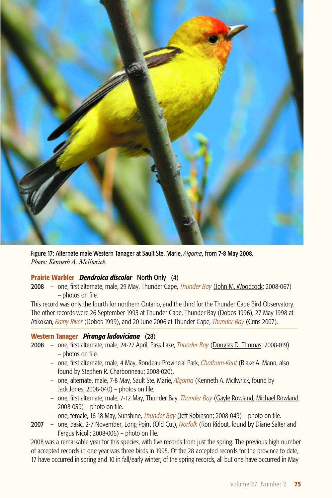

Figure 17: Alternate male Western Tanager at Sault Ste. Marie, *Algoma*, from 7-8 May 2008. *Photo: Kenneth A. McIlwrick.*

# **Prairie Warbler** *Dendroica discolor* North Only (4)

2008 – one, first alternate, male, 29 May, Thunder Cape, *Thunder Bay* (John M. Woodcock; 2008-067) – photos on file.

This record was only the fourth for northern Ontario, and the third for the Thunder Cape Bird Observatory. The other records were 26 September 1993 at Thunder Cape, Thunder Bay (Dobos 1996), 27 May 1998 at Atikokan, *Rainy River* (Dobos 1999), and 20 June 2006 at Thunder Cape, *Thunder Bay* (Crins 2007).

#### **Western Tanager** *Piranga ludoviciana* (28)

- 2008 one, first alternate, male, 24-27 April, Pass Lake, *Thunder Bay* (Douglas D. Thomas; 2008-019) – photos on file.
	- one, first alternate, male, 4 May, Rondeau Provincial Park, *Chatham-Kent* (Blake A. Mann, also found by Stephen R. Charbonneau; 2008-020).
	- one, alternate, male, 7-8 May, Sault Ste. Marie, *Algoma* (Kenneth A. McIlwrick, found by Jack Jones; 2008-040) – photos on file.
	- one, first alternate, male, 7-12 May, Thunder Bay, *Thunder Bay* (Gayle Rowland, Michael Rowland; 2008-039) – photo on file.
	- one, female, 16-18 May, Sunshine, *Thunder Bay* (Jeff Robinson; 2008-049) photo on file.
- 2007 one, basic, 2-7 November, Long Point (Old Cut), *Norfolk* (Ron Ridout, found by Diane Salter and Fergus Nicoll; 2008-006) – photo on file.

2008 was a remarkable year for this species, with five records from just the spring. The previous high number of accepted records in one year was three birds in 1995. Of the 28 accepted records for the province to date, 17 have occurred in spring and 10 in fall/early winter; of the spring records, all but one have occurred in May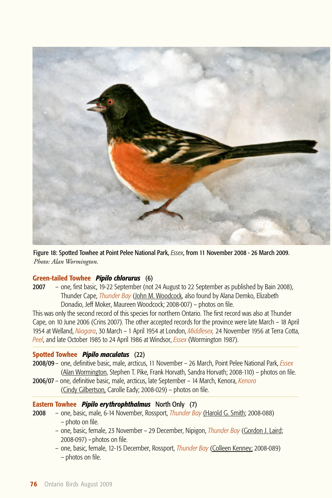

Figure 18: Spotted Towhee at Point Pelee National Park, *Essex*, from 11 November 2008 - 26 March 2009. *Photo: Alan Wormington.*

# **Green-tailed Towhee** *Pipilo chlorurus* (6)

2007 – one, first basic, 19-22 September (not 24 August to 22 September as published by Bain 2008), Thunder Cape, *Thunder Bay* (John M. Woodcock, also found by Alana Demko, Elizabeth Donadio, Jeff Moker, Maureen Woodcock; 2008-007) – photos on file.

This was only the second record of this species for northern Ontario. The first record was also at Thunder Cape, on 10 June 2006 (Crins 2007). The other accepted records for the province were late March – 18 April 1954 at Welland, *Niagara*, 30 March – 1 April 1954 at London, *Middlesex,* 24 November 1956 at Terra Cotta, *Peel*, and late October 1985 to 24 April 1986 at Windsor, *Essex* (Wormington 1987).

#### **Spotted Towhee** *Pipilo maculatus* (22)

- 2008/09 one, definitive basic, male, arcticus, 11 November 26 March, Point Pelee National Park, *Essex* (Alan Wormington, Stephen T. Pike, Frank Horvath, Sandra Horvath; 2008-110) – photos on file.
- 2006/07 one, definitive basic, male, arcticus, late September 14 March, Kenora, *Kenora* (Cindy Gilbertson, Carolle Eady; 2008-029) – photos on file.

# **Eastern Towhee** *Pipilo erythrophthalmus* North Only (7)

- 2008 one, basic, male, 6-14 November, Rossport, *Thunder Bay* (Harold G. Smith; 2008-088) – photo on file.
	- one, basic, female, 23 November 29 December, Nipigon, *Thunder Bay* (Gordon J. Laird; 2008-097) –photos on file.
	- one, basic, female, 12-15 December, Rossport, *Thunder Bay* (Colleen Kenney; 2008-089) – photos on file.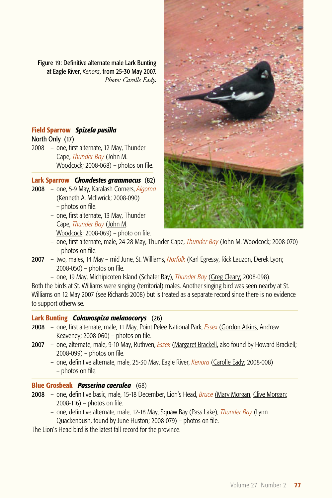Figure 19: Definitive alternate male Lark Bunting at Eagle River, *Kenora*, from 25-30 May 2007. *Photo: Carolle Eady*.

# **Field Sparrow** *Spizela pusilla*

North Only (17)

2008 – one, first alternate, 12 May, Thunder Cape, *Thunder Bay* (John M. Woodcock; 2008-068) – photos on file.

#### **Lark Sparrow** *Chondestes grammacus* (82)

- 2008 one, 5-9 May, Karalash Corners, *Algoma* (Kenneth A. McIlwrick; 2008-090) – photos on file.
	- one, first alternate, 13 May, Thunder Cape, *Thunder Bay* (John M. Woodcock; 2008-069) – photo on file.



- one, first alternate, male, 24-28 May, Thunder Cape, *Thunder Bay* (John M. Woodcock; 2008-070) – photos on file.
- 2007 two, males, 14 May mid June, St. Williams, *Norfolk* (Karl Egressy, Rick Lauzon, Derek Lyon; 2008-050) – photos on file.
	- one, 19 May, Michipicoten Island (Schafer Bay), *Thunder Bay* (Greg Cleary; 2008-098).

Both the birds at St. Williams were singing (territorial) males. Another singing bird was seen nearby at St. Williams on 12 May 2007 (see Richards 2008) but is treated as a separate record since there is no evidence to support otherwise.

# **Lark Bunting** *Calamospiza melanocorys* (26)

- 2008 one, first alternate, male, 11 May, Point Pelee National Park, *Essex* (Gordon Atkins, Andrew Keaveney; 2008-060) – photos on file.
- 2007 one, alternate, male, 9-10 May, Ruthven, *Essex* (Margaret Brackell, also found by Howard Brackell; 2008-099) – photos on file.
	- one, definitive alternate, male, 25-30 May, Eagle River, *Kenora* (Carolle Eady; 2008-008) – photos on file.

# **Blue Grosbeak** *Passerina caerulea* (68)

- 2008 one, definitive basic, male, 15-18 December, Lion's Head, *Bruce* (Mary Morgan, Clive Morgan; 2008-116) – photos on file.
	- one, definitive alternate, male, 12-18 May, Squaw Bay (Pass Lake), *Thunder Bay* (Lynn Quackenbush, found by June Huston; 2008-079) – photos on file.

The Lion's Head bird is the latest fall record for the province.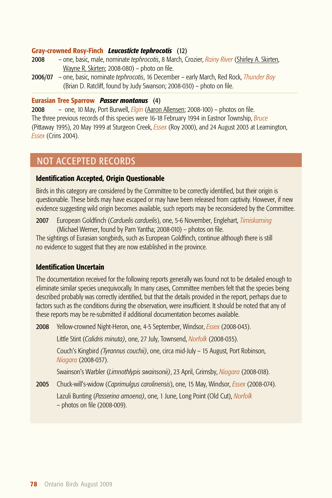# **Gray-crowned Rosy-Finch** *Leucosticte tephrocotis* (12)

- 2008 one, basic, male, nominate *tephrocotis*, 8 March, Crozier, *Rainy River* (Shirley A. Skirten, Wayne R. Skirten; 2008-080) – photo on file.
- 2006/07 one, basic, nominate *tephrocotis*, 16 December early March, Red Rock, *Thunder Bay* (Brian D. Ratcliff, found by Judy Swanson; 2008-030) – photo on file.

#### **Eurasian Tree Sparrow** *Passer montanus* (4)

2008 – one, 10 May, Port Burwell, *Elgin* (Aaron Allensen; 2008-100) – photos on file. The three previous records of this species were 16-18 February 1994 in Eastnor Township, *Bruce* (Pittaway 1995), 20 May 1999 at Sturgeon Creek, *Essex* (Roy 2000), and 24 August 2003 at Leamington, *Essex* (Crins 2004).

# NOT ACCEPTED RECORDS

## **Identification Accepted, Origin Questionable**

Birds in this category are considered by the Committee to be correctly identified, but their origin is questionable. These birds may have escaped or may have been released from captivity. However, if new evidence suggesting wild origin becomes available, such reports may be reconsidered by the Committee.

2007 European Goldfinch (*Carduelis carduelis*), one, 5-6 November, Englehart, *Timiskaming*  (Michael Werner, found by Pam Yantha; 2008-010) – photos on file.

The sightings of Eurasian songbirds, such as European Goldfinch, continue although there is still no evidence to suggest that they are now established in the province.

# **Identification Uncertain**

The documentation received for the following reports generally was found not to be detailed enough to eliminate similar species unequivocally. In many cases, Committee members felt that the species being described probably was correctly identified, but that the details provided in the report, perhaps due to factors such as the conditions during the observation, were insufficient. It should be noted that any of these reports may be re-submitted if additional documentation becomes available.

2008 Yellow-crowned Night-Heron, one, 4-5 September, Windsor, *Essex* (2008-043).

Little Stint (*Calidris minuta)*, one, 27 July, Townsend, *Norfolk* (2008-035).

Couch's Kingbird *(Tyrannus couchii)*, one, circa mid-July – 15 August, Port Robinson, *Niagara* (2008-037).

Swainson's Warbler (*Limnothlypis swainsonii)*, 23 April, Grimsby, *Niagara* (2008-018).

2005 Chuck-will's-widow (*Caprimulgus carolinensis*), one, 15 May, Windsor, *Essex* (2008-074).

Lazuli Bunting (*Passerina amoena)*, one, 1 June, Long Point (Old Cut), *Norfolk*  – photos on file (2008-009).